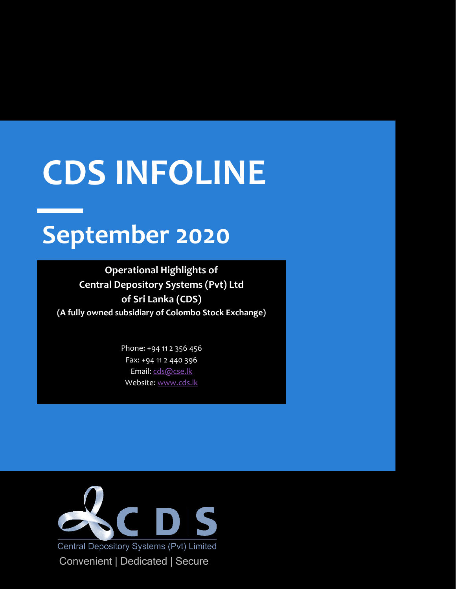# **CDS INFOLINE**

## **September 2020**

**Operational Highlights of Central Depository Systems (Pvt) Ltd of Sri Lanka (CDS) (A fully owned subsidiary of Colombo Stock Exchange)**

> Phone: +94 11 2 356 456 Fax: +94 11 2 440 396 Email[: cds@cse.lk](mailto:cds@cse.lk) Website[: www.cds.lk](http://www.cds.lk/)

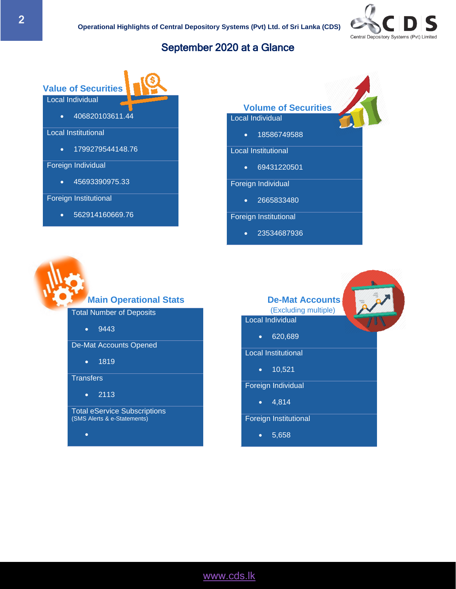

#### September 2020 at a Glance

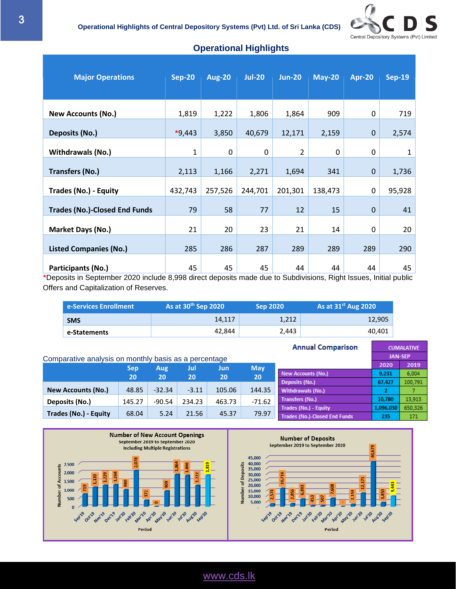

| <b>Major Operations</b>              | <b>Sep-20</b> | <b>Aug-20</b> | <b>Jul-20</b> | <b>Jun-20</b>  | <b>May-20</b> | <b>Apr-20</b> | <b>Sep-19</b> |
|--------------------------------------|---------------|---------------|---------------|----------------|---------------|---------------|---------------|
| <b>New Accounts (No.)</b>            | 1,819         | 1,222         | 1,806         | 1,864          | 909           | 0             | 719           |
| Deposits (No.)                       | $*9,443$      | 3,850         | 40,679        | 12,171         | 2,159         | $\mathbf 0$   | 2,574         |
| <b>Withdrawals (No.)</b>             | $\mathbf{1}$  | 0             | 0             | $\overline{2}$ | 0             | 0             | $\mathbf{1}$  |
| <b>Transfers (No.)</b>               | 2,113         | 1,166         | 2,271         | 1,694          | 341           | $\mathbf 0$   | 1,736         |
| <b>Trades (No.) - Equity</b>         | 432,743       | 257,526       | 244,701       | 201,301        | 138,473       | 0             | 95,928        |
| <b>Trades (No.)-Closed End Funds</b> | 79            | 58            | 77            | 12             | 15            | $\mathbf 0$   | 41            |
| Market Days (No.)                    | 21            | 20            | 23            | 21             | 14            | 0             | 20            |
| <b>Listed Companies (No.)</b>        | 285           | 286           | 287           | 289            | 289           | 289           | 290           |
| Participants (No.)                   | 45            | 45            | 45            | 44             | 44            | 44            | 45            |

#### • **Operational Highlights**

**\***Deposits in September 2020 include 8,998 direct deposits made due to Subdivisions, Right Issues, Initial public Offers and Capitalization of Reserves.

| e-Services Enrollment | As at $30th$ Sep 2020 | <b>Sep 2020</b> | As at $31^{st}$ Aug 2020 |
|-----------------------|-----------------------|-----------------|--------------------------|
| <b>SMS</b>            | 14.117                | 1.212           | 12,905                   |
| e-Statements          | 42.844                | 2,443           | 40,401                   |

|                                                       |                 |          |         |        |            | <b>Annual Comparison</b>      |           | <b>CUMALATIVE</b> |
|-------------------------------------------------------|-----------------|----------|---------|--------|------------|-------------------------------|-----------|-------------------|
| Comparative analysis on monthly basis as a percentage |                 |          |         |        |            |                               |           | <b>JAN-SEP</b>    |
|                                                       | <b>Sep</b>      | Aug      | Jul     | Jun    | <b>May</b> |                               | 2020      | 2019              |
|                                                       | 20 <sub>1</sub> | 20       | 20      | 20     | 20         | New Accounts (No.)            | 9,231     | 6.004             |
|                                                       |                 |          |         |        |            | Deposits (No.)                | 67,427    | 100.79            |
| <b>New Accounts (No.)</b>                             | 48.85           | $-32.34$ | $-3.11$ | 105.06 | 144.35     | Withdrawals (No.)             |           |                   |
| Deposits (No.)                                        | 145.27          | -90.54   | 234.23  | 463.73 | $-71.62$   | <b>Transfers (No.)</b>        | 10.780    | 13.913            |
|                                                       |                 |          |         |        |            | Trades (No.) - Equity         | 1,096,030 | 650.32            |
| Trades (No.) - Equity                                 | 68.04           | 5.24     | 21.56   | 45.37  | 79.97      | Trades (No.)-Closed End Funds | 235       | 171               |



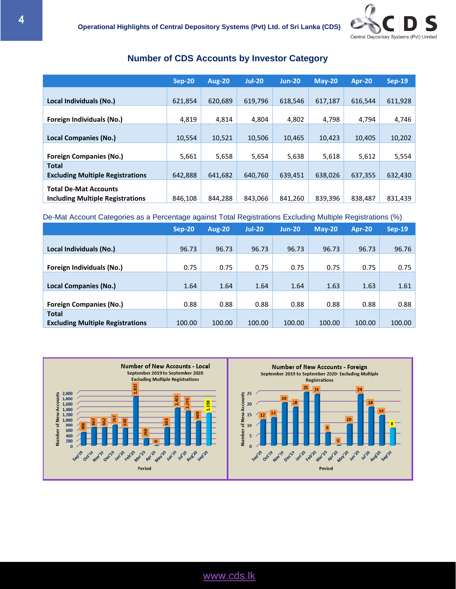

#### **Number of CDS Accounts by Investor Category**

|                                                                         | Sep-20  | <b>Aug-20</b> | <b>Jul-20</b> | $Jun-20$ | $Mav-20$ | Apr-20  | <b>Sep-19</b> |
|-------------------------------------------------------------------------|---------|---------------|---------------|----------|----------|---------|---------------|
| Local Individuals (No.)                                                 | 621,854 | 620,689       | 619,796       | 618,546  | 617,187  | 616,544 | 611,928       |
| Foreign Individuals (No.)                                               | 4,819   | 4,814         | 4,804         | 4,802    | 4,798    | 4,794   | 4,746         |
| <b>Local Companies (No.)</b>                                            | 10,554  | 10,521        | 10,506        | 10,465   | 10.423   | 10,405  | 10,202        |
| <b>Foreign Companies (No.)</b>                                          | 5,661   | 5,658         | 5,654         | 5,638    | 5,618    | 5,612   | 5,554         |
| <b>Total</b><br><b>Excluding Multiple Registrations</b>                 | 642,888 | 641,682       | 640,760       | 639,451  | 638,026  | 637,355 | 632,430       |
| <b>Total De-Mat Accounts</b><br><b>Including Multiple Registrations</b> | 846,108 | 844.288       | 843,066       | 841,260  | 839,396  | 838,487 | 831,439       |

#### De-Mat Account Categories as a Percentage against Total Registrations Excluding Multiple Registrations (%)

|                                                         | Sep-20 | <b>Aug-20</b> | <b>Jul-20</b> | $Jun-20$ | $M$ ay-20 | <b>Apr-20</b> | $Sep-19$ |
|---------------------------------------------------------|--------|---------------|---------------|----------|-----------|---------------|----------|
| Local Individuals (No.)                                 | 96.73  | 96.73         | 96.73         | 96.73    | 96.73     | 96.73         | 96.76    |
| Foreign Individuals (No.)                               | 0.75   | 0.75          | 0.75          | 0.75     | 0.75      | 0.75          | 0.75     |
| Local Companies (No.)                                   | 1.64   | 1.64          | 1.64          | 1.64     | 1.63      | 1.63          | 1.61     |
| <b>Foreign Companies (No.)</b>                          | 0.88   | 0.88          | 0.88          | 0.88     | 0.88      | 0.88          | 0.88     |
| <b>Total</b><br><b>Excluding Multiple Registrations</b> | 100.00 | 100.00        | 100.00        | 100.00   | 100.00    | 100.00        | 100.00   |

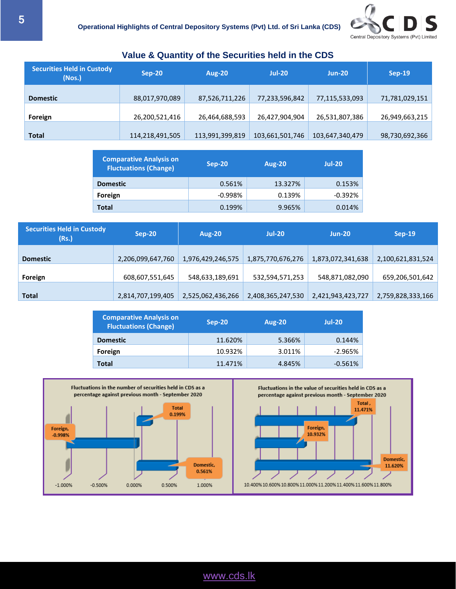

| <b>Securities Held in Custody</b><br>(Nos.) | $Sep-20$        | <b>Aug-20</b>   | <b>Jul-20</b>   | $Jun-20$        | <b>Sep-19</b>  |
|---------------------------------------------|-----------------|-----------------|-----------------|-----------------|----------------|
| <b>Domestic</b>                             | 88,017,970,089  | 87,526,711,226  | 77,233,596,842  | 77,115,533,093  | 71,781,029,151 |
| Foreign                                     | 26,200,521,416  | 26,464,688,593  | 26,427,904,904  | 26,531,807,386  | 26,949,663,215 |
| <b>Total</b>                                | 114,218,491,505 | 113,991,399,819 | 103,661,501,746 | 103,647,340,479 | 98,730,692,366 |

#### **Value & Quantity of the Securities held in the CDS**

| <b>Comparative Analysis on</b><br><b>Fluctuations (Change)</b> | $Sep-20$  | <b>Aug-20</b> | $Jul-20$  |
|----------------------------------------------------------------|-----------|---------------|-----------|
| <b>Domestic</b>                                                | 0.561%    | 13.327%       | 0.153%    |
| Foreign                                                        | $-0.998%$ | 0.139%        | $-0.392%$ |
| <b>Total</b>                                                   | 0.199%    | 9.965%        | 0.014%    |

| <b>Securities Held in Custody</b><br>(Rs.) | $Sep-20$          | <b>Aug-20</b>     | $Jul-20$          | <b>Jun-20</b>     | $Sep-19$          |
|--------------------------------------------|-------------------|-------------------|-------------------|-------------------|-------------------|
| <b>Domestic</b>                            | 2,206,099,647,760 | 1,976,429,246,575 | 1,875,770,676,276 | 1,873,072,341,638 | 2,100,621,831,524 |
| Foreign                                    | 608,607,551,645   | 548,633,189,691   | 532,594,571,253   | 548,871,082,090   | 659,206,501,642   |
| <b>Total</b>                               | 2,814,707,199,405 | 2,525,062,436,266 | 2,408,365,247,530 | 2,421,943,423,727 | 2,759,828,333,166 |

| <b>Comparative Analysis on</b><br><b>Fluctuations (Change)</b> | $Sep-20$ | <b>Aug-20</b> | $Jul-20$  |
|----------------------------------------------------------------|----------|---------------|-----------|
| <b>Domestic</b>                                                | 11.620%  | 5.366%        | 0.144%    |
| Foreign                                                        | 10.932%  | 3.011%        | $-2.965%$ |
| <b>Total</b>                                                   | 11.471%  | 4.845%        | $-0.561%$ |



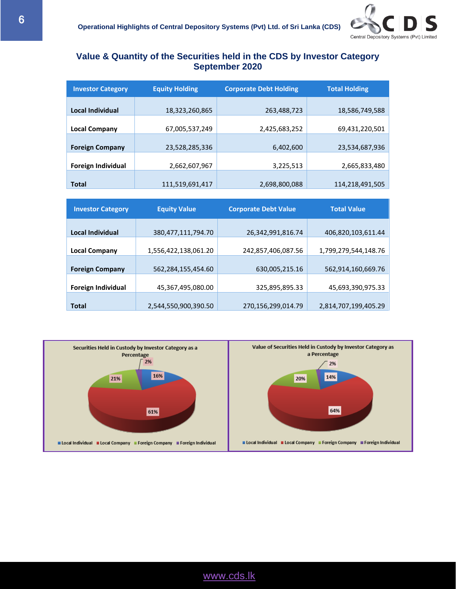

#### **Value & Quantity of the Securities held in the CDS by Investor Category September 2020**

| <b>Investor Category</b>  | <b>Equity Holding</b> | <b>Corporate Debt Holding</b> | <b>Total Holding</b> |
|---------------------------|-----------------------|-------------------------------|----------------------|
| Local Individual          | 18,323,260,865        | 263,488,723                   | 18,586,749,588       |
| <b>Local Company</b>      | 67,005,537,249        | 2,425,683,252                 | 69,431,220,501       |
| <b>Foreign Company</b>    | 23,528,285,336        | 6,402,600                     | 23,534,687,936       |
| <b>Foreign Individual</b> | 2,662,607,967         | 3,225,513                     | 2,665,833,480        |
| <b>Total</b>              | 111,519,691,417       | 2,698,800,088                 | 114,218,491,505      |

| <b>Investor Category</b>  | <b>Equity Value</b>    | <b>Corporate Debt Value</b> | <b>Total Value</b>   |
|---------------------------|------------------------|-----------------------------|----------------------|
|                           |                        |                             |                      |
| Local Individual          | 380, 477, 111, 794. 70 | 26,342,991,816.74           | 406,820,103,611.44   |
| <b>Local Company</b>      | 1,556,422,138,061.20   | 242,857,406,087.56          | 1,799,279,544,148.76 |
|                           |                        |                             |                      |
| <b>Foreign Company</b>    | 562,284,155,454.60     | 630,005,215.16              | 562,914,160,669.76   |
|                           |                        |                             |                      |
| <b>Foreign Individual</b> | 45,367,495,080.00      | 325,895,895.33              | 45,693,390,975.33    |
|                           |                        |                             |                      |
| <b>Total</b>              | 2,544,550,900,390.50   | 270,156,299,014.79          | 2,814,707,199,405.29 |

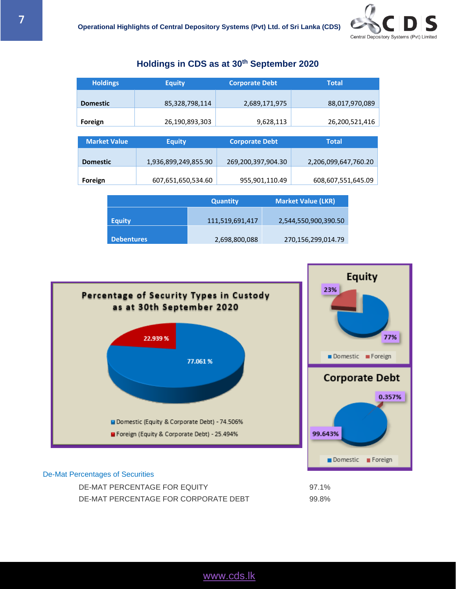Equity

77%

0.357%

### **Holdings Equity Corporate Debt Total Domestic** 85,328,798,114 2,689,171,975 88,017,970,089 **Foreign** 26,190,893,303 9,628,113 26,200,521,416 **Market Value Equity Corporate Debt Total Domestic** 1,936,899,249,855.90 269,200,397,904.30 2,206,099,647,760.20 **Foreign** 607,651,650,534.60 955,901,110.49 608,607,551,645.09

**Holdings in CDS as at 30 th September 2020**

|                   | <b>Quantity</b> | <b>Market Value (LKR)</b> |
|-------------------|-----------------|---------------------------|
| <b>Equity</b>     | 111,519,691,417 | 2,544,550,900,390.50      |
| <b>Debentures</b> | 2,698,800,088   | 270,156,299,014.79        |



#### De-Mat Percentages of Securities

DE-MAT PERCENTAGE FOR EQUITY 97.1% DE-MAT PERCENTAGE FOR CORPORATE DEBT 99.8%